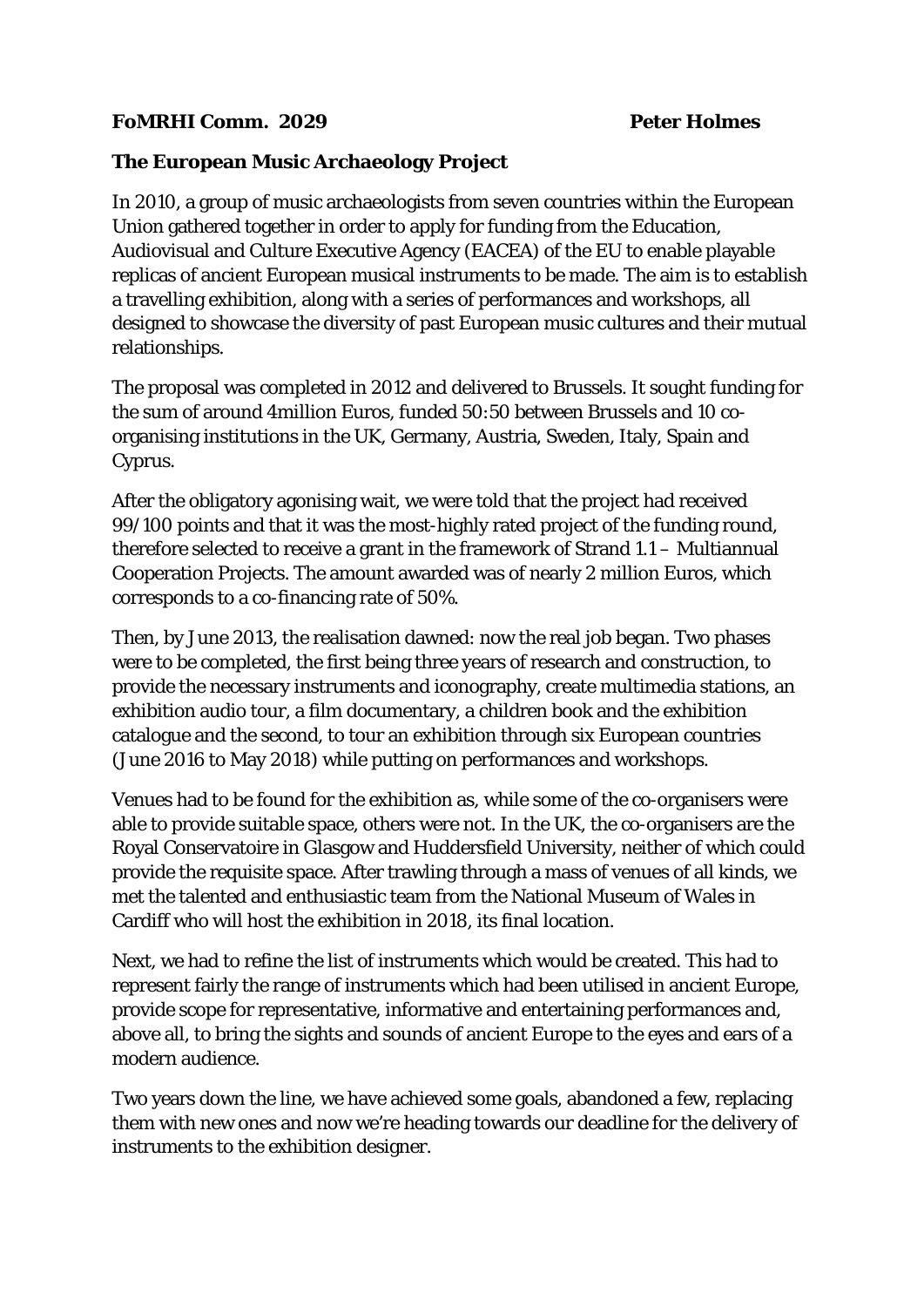## **The European Music Archaeology Project**

In 2010, a group of music archaeologists from seven countries within the European Union gathered together in order to apply for funding from the Education, Audiovisual and Culture Executive Agency (EACEA) of the EU to enable playable replicas of ancient European musical instruments to be made. The aim is to establish a travelling exhibition, along with a series of performances and workshops, all designed to showcase the diversity of past European music cultures and their mutual relationships.

The proposal was completed in 2012 and delivered to Brussels. It sought funding for the sum of around 4million Euros, funded 50:50 between Brussels and 10 coorganising institutions in the UK, Germany, Austria, Sweden, Italy, Spain and Cyprus.

After the obligatory agonising wait, we were told that the project had received 99/100 points and that it was the most-highly rated project of the funding round, therefore selected to receive a grant in the framework of Strand 1.1 – Multiannual Cooperation Projects. The amount awarded was of nearly 2 million Euros, which corresponds to a co-financing rate of 50%.

Then, by June 2013, the realisation dawned: now the real job began. Two phases were to be completed, the first being three years of research and construction, to provide the necessary instruments and iconography, create multimedia stations, an exhibition audio tour, a film documentary, a children book and the exhibition catalogue and the second, to tour an exhibition through six European countries (June 2016 to May 2018) while putting on performances and workshops.

Venues had to be found for the exhibition as, while some of the co-organisers were able to provide suitable space, others were not. In the UK, the co-organisers are the Royal Conservatoire in Glasgow and Huddersfield University, neither of which could provide the requisite space. After trawling through a mass of venues of all kinds, we met the talented and enthusiastic team from the National Museum of Wales in Cardiff who will host the exhibition in 2018, its final location.

Next, we had to refine the list of instruments which would be created. This had to represent fairly the range of instruments which had been utilised in ancient Europe, provide scope for representative, informative and entertaining performances and, above all, to bring the sights and sounds of ancient Europe to the eyes and ears of a modern audience.

Two years down the line, we have achieved some goals, abandoned a few, replacing them with new ones and now we're heading towards our deadline for the delivery of instruments to the exhibition designer.